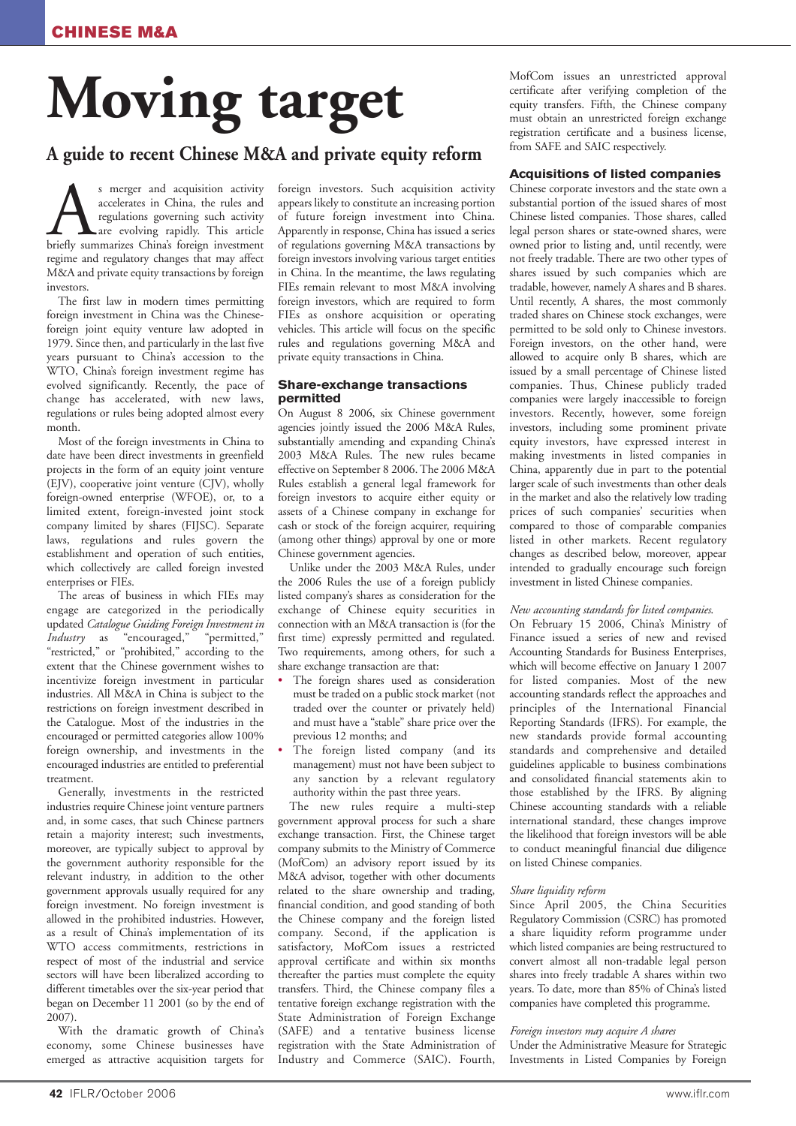# **Moving target**

# **A guide to recent Chinese M&A and private equity reform**

S merger and acquisition activity<br>accelerates in China, the rules and<br>regulations governing such activity<br>are evolving rapidly. This article<br>briefly summarizes China's foreign investment accelerates in China, the rules and regulations governing such activity are evolving rapidly. This article regime and regulatory changes that may affect M&A and private equity transactions by foreign investors.

The first law in modern times permitting foreign investment in China was the Chineseforeign joint equity venture law adopted in 1979. Since then, and particularly in the last five years pursuant to China's accession to the WTO, China's foreign investment regime has evolved significantly. Recently, the pace of change has accelerated, with new laws, regulations or rules being adopted almost every month.

Most of the foreign investments in China to date have been direct investments in greenfield projects in the form of an equity joint venture (EJV), cooperative joint venture (CJV), wholly foreign-owned enterprise (WFOE), or, to a limited extent, foreign-invested joint stock company limited by shares (FIJSC). Separate laws, regulations and rules govern the establishment and operation of such entities, which collectively are called foreign invested enterprises or FIEs.

The areas of business in which FIEs may engage are categorized in the periodically updated *Catalogue Guiding Foreign Investment in Industry* as "encouraged," "permitted," "restricted," or "prohibited," according to the extent that the Chinese government wishes to incentivize foreign investment in particular industries. All M&A in China is subject to the restrictions on foreign investment described in the Catalogue. Most of the industries in the encouraged or permitted categories allow 100% foreign ownership, and investments in the encouraged industries are entitled to preferential treatment.

Generally, investments in the restricted industries require Chinese joint venture partners and, in some cases, that such Chinese partners retain a majority interest; such investments, moreover, are typically subject to approval by the government authority responsible for the relevant industry, in addition to the other government approvals usually required for any foreign investment. No foreign investment is allowed in the prohibited industries. However, as a result of China's implementation of its WTO access commitments, restrictions in respect of most of the industrial and service sectors will have been liberalized according to different timetables over the six-year period that began on December 11 2001 (so by the end of 2007).

With the dramatic growth of China's economy, some Chinese businesses have emerged as attractive acquisition targets for

foreign investors. Such acquisition activity appears likely to constitute an increasing portion of future foreign investment into China. Apparently in response, China has issued a series of regulations governing M&A transactions by foreign investors involving various target entities in China. In the meantime, the laws regulating FIEs remain relevant to most M&A involving foreign investors, which are required to form FIEs as onshore acquisition or operating vehicles. This article will focus on the specific rules and regulations governing M&A and private equity transactions in China.

#### **Share-exchange transactions permitted**

On August 8 2006, six Chinese government agencies jointly issued the 2006 M&A Rules, substantially amending and expanding China's 2003 M&A Rules. The new rules became effective on September 8 2006. The 2006 M&A Rules establish a general legal framework for foreign investors to acquire either equity or assets of a Chinese company in exchange for cash or stock of the foreign acquirer, requiring (among other things) approval by one or more Chinese government agencies.

Unlike under the 2003 M&A Rules, under the 2006 Rules the use of a foreign publicly listed company's shares as consideration for the exchange of Chinese equity securities in connection with an M&A transaction is (for the first time) expressly permitted and regulated. Two requirements, among others, for such a share exchange transaction are that:

- The foreign shares used as consideration must be traded on a public stock market (not traded over the counter or privately held) and must have a "stable" share price over the previous 12 months; and
- The foreign listed company (and its management) must not have been subject to any sanction by a relevant regulatory authority within the past three years.

The new rules require a multi-step government approval process for such a share exchange transaction. First, the Chinese target company submits to the Ministry of Commerce (MofCom) an advisory report issued by its M&A advisor, together with other documents related to the share ownership and trading, financial condition, and good standing of both the Chinese company and the foreign listed company. Second, if the application is satisfactory, MofCom issues a restricted approval certificate and within six months thereafter the parties must complete the equity transfers. Third, the Chinese company files a tentative foreign exchange registration with the State Administration of Foreign Exchange (SAFE) and a tentative business license registration with the State Administration of Industry and Commerce (SAIC). Fourth,

MofCom issues an unrestricted approval certificate after verifying completion of the equity transfers. Fifth, the Chinese company must obtain an unrestricted foreign exchange registration certificate and a business license, from SAFE and SAIC respectively.

#### **Acquisitions of listed companies**

Chinese corporate investors and the state own a substantial portion of the issued shares of most Chinese listed companies. Those shares, called legal person shares or state-owned shares, were owned prior to listing and, until recently, were not freely tradable. There are two other types of shares issued by such companies which are tradable, however, namely A shares and B shares. Until recently, A shares, the most commonly traded shares on Chinese stock exchanges, were permitted to be sold only to Chinese investors. Foreign investors, on the other hand, were allowed to acquire only B shares, which are issued by a small percentage of Chinese listed companies. Thus, Chinese publicly traded companies were largely inaccessible to foreign investors. Recently, however, some foreign investors, including some prominent private equity investors, have expressed interest in making investments in listed companies in China, apparently due in part to the potential larger scale of such investments than other deals in the market and also the relatively low trading prices of such companies' securities when compared to those of comparable companies listed in other markets. Recent regulatory changes as described below, moreover, appear intended to gradually encourage such foreign investment in listed Chinese companies.

#### *New accounting standards for listed companies*.

On February 15 2006, China's Ministry of Finance issued a series of new and revised Accounting Standards for Business Enterprises, which will become effective on January 1 2007 for listed companies. Most of the new accounting standards reflect the approaches and principles of the International Financial Reporting Standards (IFRS). For example, the new standards provide formal accounting standards and comprehensive and detailed guidelines applicable to business combinations and consolidated financial statements akin to those established by the IFRS. By aligning Chinese accounting standards with a reliable international standard, these changes improve the likelihood that foreign investors will be able to conduct meaningful financial due diligence on listed Chinese companies.

#### *Share liquidity reform*

Since April 2005, the China Securities Regulatory Commission (CSRC) has promoted a share liquidity reform programme under which listed companies are being restructured to convert almost all non-tradable legal person shares into freely tradable A shares within two years. To date, more than 85% of China's listed companies have completed this programme.

#### *Foreign investors may acquire A shares*

Under the Administrative Measure for Strategic Investments in Listed Companies by Foreign